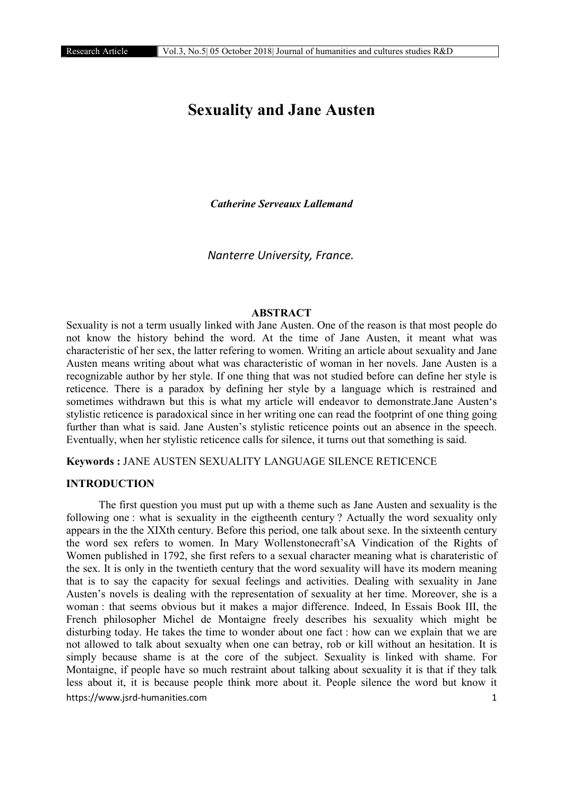# Sexuality and Jane Austen

*Catherine Serveaux Lallemand*

*Nanterre University, France.*

#### ABSTRACT

Sexuality is not a term usually linked with Jane Austen. One of the reason is that most people do not know the history behind the word. At the time of Jane Austen, it meant what was characteristic of her sex, the latter refering to women. Writing an article about sexuality and Jane Austen means writing about what was characteristic of woman in her novels. Jane Austen is a recognizable author by her style. If one thing that was not studied before can define her style is reticence. There is a paradox by defining her style by a language which is restrained and sometimes withdrawn but this is what my article will endeavor to demonstrate.Jane Austen's stylistic reticence is paradoxical since in her writing one can read the footprint of one thing going further than what is said. Jane Austen's stylistic reticence points out an absence in the speech. Eventually, when her stylistic reticence calls for silence, it turns out that something is said.

Keywords : JANE AUSTEN SEXUALITY LANGUAGE SILENCE RETICENCE

## INTRODUCTION

https://www.jsrd-humanities.com 1 The first question you must put up with a theme such as Jane Austen and sexuality is the following one : what is sexuality in the eigtheenth century ? Actually the word sexuality only appears in the the XIXth century. Before this period, one talk about sexe. In the sixteenth century the word sex refers to women. In Mary Wollenstonecraft'sA Vindication of the Rights of Women published in 1792, she first refers to a sexual character meaning what is charateristic of the sex. It is only in the twentieth century that the word sexuality will have its modern meaning that is to say the capacity for sexual feelings and activities. Dealing with sexuality in Jane Austen's novels is dealing with the representation of sexuality at her time. Moreover, she is a woman : that seems obvious but it makes a major difference. Indeed, In Essais Book III, the French philosopher Michel de Montaigne freely describes his sexuality which might be disturbing today. He takes the time to wonder about one fact : how can we explain that we are not allowed to talk about sexualty when one can betray, rob or kill without an hesitation. It is simply because shame is at the core of the subject. Sexuality is linked with shame. For Montaigne, if people have so much restraint about talking about sexuality it is that if they talk less about it, it is because people think more about it. People silence the word but know it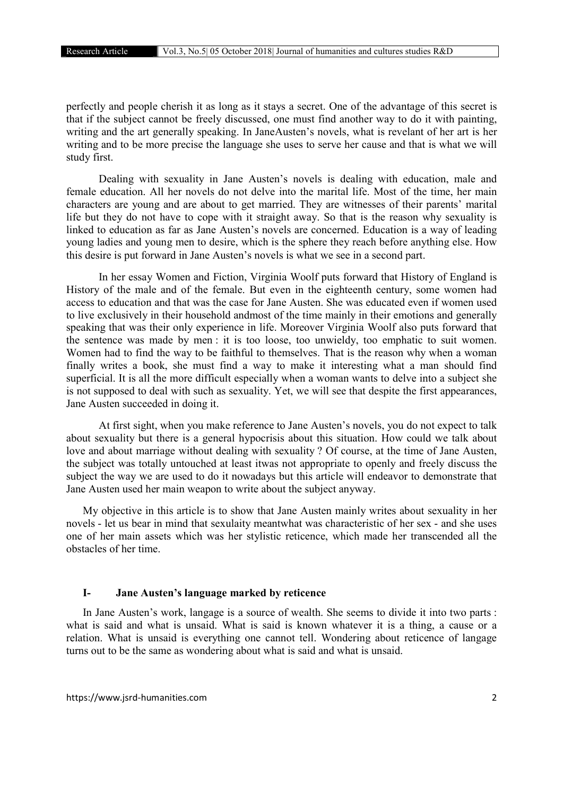perfectly and people cherish it as long as it stays a secret. One of the advantage of this secret is that if the subject cannot be freely discussed, one must find another way to do it with painting, writing and the art generally speaking. In JaneAusten's novels, what is revelant of her art is her writing and to be more precise the language she uses to serve her cause and that is what we will study first.

Dealing with sexuality in Jane Austen's novels is dealing with education, male and female education. All her novels do not delve into the marital life. Most of the time, her main characters are young and are about to get married. They are witnesses of their parents' marital life but they do not have to cope with it straight away. So that is the reason why sexuality is linked to education as far as Jane Austen's novels are concerned. Education is a way of leading young ladies and young men to desire, which is the sphere they reach before anything else. How this desire is put forward in Jane Austen's novels is what we see in a second part.

In her essay Women and Fiction, Virginia Woolf puts forward that History of England is History of the male and of the female. But even in the eighteenth century, some women had access to education and that was the case for Jane Austen. She was educated even if women used to live exclusively in their household andmost of the time mainly in their emotions and generally speaking that was their only experience in life. Moreover Virginia Woolf also puts forward that the sentence was made by men : it is too loose, too unwieldy, too emphatic to suit women. Women had to find the way to be faithful to themselves. That is the reason why when a woman finally writes a book, she must find a way to make it interesting what a man should find superficial. It is all the more difficult especially when a woman wants to delve into a subject she is not supposed to deal with such as sexuality. Yet, we will see that despite the first appearances, Jane Austen succeeded in doing it.

At first sight, when you make reference to Jane Austen's novels, you do not expect to talk about sexuality but there is a general hypocrisis about this situation. How could we talk about love and about marriage without dealing with sexuality ? Of course, at the time of Jane Austen, the subject was totally untouched at least itwas not appropriate to openly and freely discuss the subject the way we are used to do it nowadays but this article will endeavor to demonstrate that Jane Austen used her main weapon to write about the subject anyway.

My objective in this article is to show that Jane Austen mainly writes about sexuality in her novels - let us bear in mind that sexulaity meantwhat was characteristic of her sex - and she uses one of her main assets which was her stylistic reticence, which made her transcended all the obstacles of her time.

# I- Jane Austen's language marked by reticence

In Jane Austen's work, langage is a source of wealth. She seems to divide it into two parts : what is said and what is unsaid. What is said is known whatever it is a thing, a cause or a relation. What is unsaid is everything one cannot tell. Wondering about reticence of langage turns out to be the same as wondering about what is said and what is unsaid.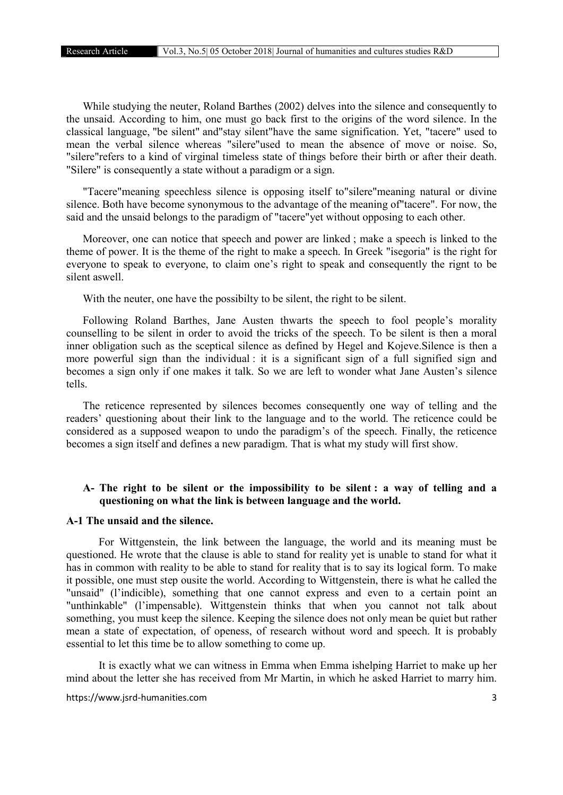While studying the neuter, Roland Barthes (2002) delves into the silence and consequently to the unsaid. According to him, one must go back first to the origins of the word silence. In the classical language, "be silent" and"stay silent"have the same signification. Yet, "tacere" used to mean the verbal silence whereas "silere"used to mean the absence of move or noise. So, "silere"refers to a kind of virginal timeless state of things before their birth or after their death. "Silere" is consequently a state without a paradigm or a sign.

"Tacere"meaning speechless silence is opposing itself to"silere"meaning natural or divine silence. Both have become synonymous to the advantage of the meaning of"tacere". For now, the said and the unsaid belongs to the paradigm of "tacere"yet without opposing to each other.

Moreover, one can notice that speech and power are linked ; make a speech is linked to the theme of power. It is the theme of the right to make a speech. In Greek "isegoria" is the right for everyone to speak to everyone, to claim one's right to speak and consequently the rignt to be silent aswell.

With the neuter, one have the possibilty to be silent, the right to be silent.

Following Roland Barthes, Jane Austen thwarts the speech to fool people's morality counselling to be silent in order to avoid the tricks of the speech. To be silent is then a moral inner obligation such as the sceptical silence as defined by Hegel and Kojeve.Silence is then a more powerful sign than the individual : it is a significant sign of a full signified sign and becomes a sign only if one makes it talk. So we are left to wonder what Jane Austen's silence tells.

The reticence represented by silences becomes consequently one way of telling and the readers' questioning about their link to the language and to the world. The reticence could be considered as a supposed weapon to undo the paradigm's of the speech. Finally, the reticence becomes a sign itself and defines a new paradigm. That is what my study will first show.

# A- The right to be silent or the impossibility to be silent : a way of telling and a questioning on what the link is between language and the world.

# A-1 The unsaid and the silence.

For Wittgenstein, the link between the language, the world and its meaning must be questioned. He wrote that the clause is able to stand for reality yet is unable to stand for what it has in common with reality to be able to stand for reality that is to say its logical form. To make it possible, one must step ousite the world. According to Wittgenstein, there is what he called the "unsaid" (l'indicible), something that one cannot express and even to a certain point an "unthinkable" (l'impensable). Wittgenstein thinks that when you cannot not talk about something, you must keep the silence. Keeping the silence does not only mean be quiet but rather mean a state of expectation, of openess, of research without word and speech. It is probably essential to let this time be to allow something to come up.

It is exactly what we can witness in Emma when Emma ishelping Harriet to make up her mind about the letter she has received from Mr Martin, in which he asked Harriet to marry him.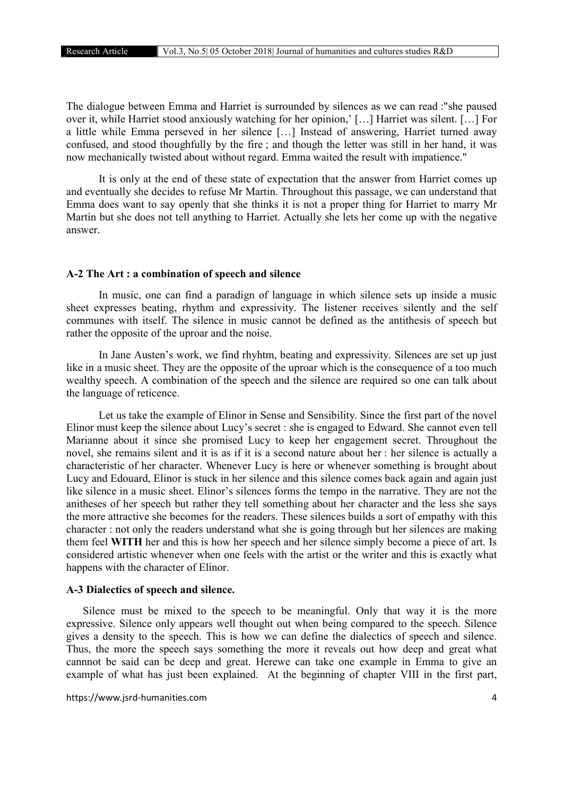The dialogue between Emma and Harriet is surrounded by silences as we can read :"she paused over it, while Harriet stood anxiously watching for her opinion,' […] Harriet was silent. […] For a little while Emma perseved in her silence […] Instead of answering, Harriet turned away confused, and stood thoughfully by the fire ; and though the letter was still in her hand, it was now mechanically twisted about without regard. Emma waited the result with impatience."

It is only at the end of these state of expectation that the answer from Harriet comes up and eventually she decides to refuse Mr Martin. Throughout this passage, we can understand that Emma does want to say openly that she thinks it is not a proper thing for Harriet to marry Mr Martin but she does not tell anything to Harriet. Actually she lets her come up with the negative answer.

# A-2 The Art : a combination of speech and silence

In music, one can find a paradign of language in which silence sets up inside a music sheet expresses beating, rhythm and expressivity. The listener receives silently and the self communes with itself. The silence in music cannot be defined as the antithesis of speech but rather the opposite of the uproar and the noise.

In Jane Austen's work, we find rhyhtm, beating and expressivity. Silences are set up just like in a music sheet. They are the opposite of the uproar which is the consequence of a too much wealthy speech. A combination of the speech and the silence are required so one can talk about the language of reticence.

Let us take the example of Elinor in Sense and Sensibility. Since the first part of the novel Elinor must keep the silence about Lucy's secret : she is engaged to Edward. She cannot even tell Marianne about it since she promised Lucy to keep her engagement secret. Throughout the novel, she remains silent and it is as if it is a second nature about her : her silence is actually a characteristic of her character. Whenever Lucy is here or whenever something is brought about Lucy and Edouard, Elinor is stuck in her silence and this silence comes back again and again just like silence in a music sheet. Elinor's silences forms the tempo in the narrative. They are not the anitheses of her speech but rather they tell something about her character and the less she says the more attractive she becomes for the readers. These silences builds a sort of empathy with this character : not only the readers understand what she is going through but her silences are making them feel WITH her and this is how her speech and her silence simply become a piece of art. Is considered artistic whenever when one feels with the artist or the writer and this is exactly what happens with the character of Elinor.

#### A-3 Dialectics of speech and silence.

Silence must be mixed to the speech to be meaningful. Only that way it is the more expressive. Silence only appears well thought out when being compared to the speech. Silence gives a density to the speech. This is how we can define the dialectics of speech and silence. Thus, the more the speech says something the more it reveals out how deep and great what cannnot be said can be deep and great. Herewe can take one example in Emma to give an example of what has just been explained. At the beginning of chapter VIII in the first part,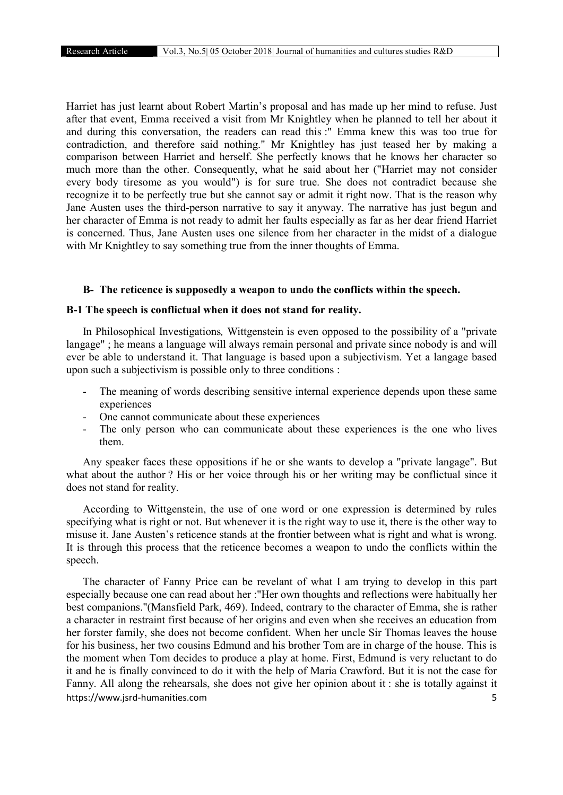Harriet has just learnt about Robert Martin's proposal and has made up her mind to refuse. Just after that event, Emma received a visit from Mr Knightley when he planned to tell her about it and during this conversation, the readers can read this :" Emma knew this was too true for contradiction, and therefore said nothing." Mr Knightley has just teased her by making a comparison between Harriet and herself. She perfectly knows that he knows her character so much more than the other. Consequently, what he said about her ("Harriet may not consider every body tiresome as you would") is for sure true. She does not contradict because she recognize it to be perfectly true but she cannot say or admit it right now. That is the reason why Jane Austen uses the third-person narrative to say it anyway. The narrative has just begun and her character of Emma is not ready to admit her faults especially as far as her dear friend Harriet is concerned. Thus, Jane Austen uses one silence from her character in the midst of a dialogue with Mr Knightley to say something true from the inner thoughts of Emma.

## B- The reticence is supposedly a weapon to undo the conflicts within the speech.

## B-1 The speech is conflictual when it does not stand for reality.

In Philosophical Investigations*,* Wittgenstein is even opposed to the possibility of a "private langage" ; he means a language will always remain personal and private since nobody is and will ever be able to understand it. That language is based upon a subjectivism. Yet a langage based upon such a subjectivism is possible only to three conditions :

- The meaning of words describing sensitive internal experience depends upon these same experiences
- One cannot communicate about these experiences
- The only person who can communicate about these experiences is the one who lives them.

Any speaker faces these oppositions if he or she wants to develop a "private langage". But what about the author ? His or her voice through his or her writing may be conflictual since it does not stand for reality.

According to Wittgenstein, the use of one word or one expression is determined by rules specifying what is right or not. But whenever it is the right way to use it, there is the other way to misuse it. Jane Austen's reticence stands at the frontier between what is right and what is wrong. It is through this process that the reticence becomes a weapon to undo the conflicts within the speech.

https://www.jsrd-humanities.com 5 The character of Fanny Price can be revelant of what I am trying to develop in this part especially because one can read about her :"Her own thoughts and reflections were habitually her best companions."(Mansfield Park, 469). Indeed, contrary to the character of Emma, she is rather a character in restraint first because of her origins and even when she receives an education from her forster family, she does not become confident. When her uncle Sir Thomas leaves the house for his business, her two cousins Edmund and his brother Tom are in charge of the house. This is the moment when Tom decides to produce a play at home. First, Edmund is very reluctant to do it and he is finally convinced to do it with the help of Maria Crawford. But it is not the case for Fanny. All along the rehearsals, she does not give her opinion about it : she is totally against it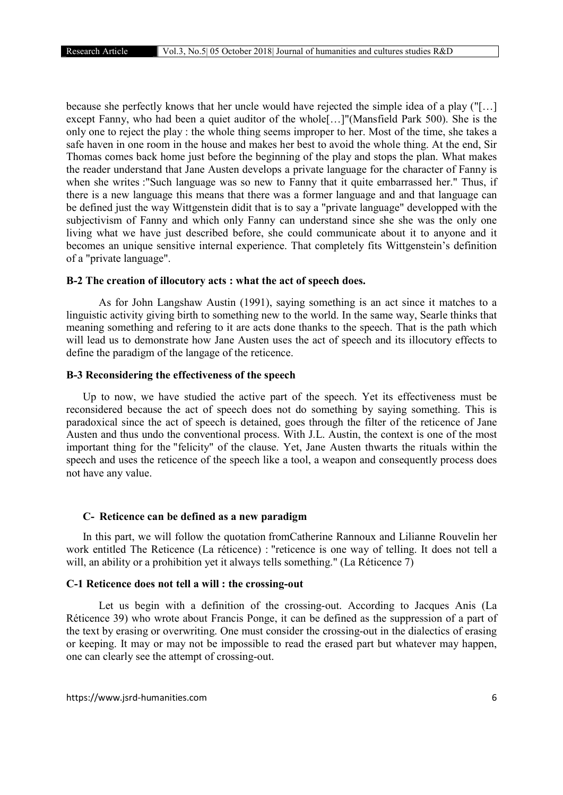because she perfectly knows that her uncle would have rejected the simple idea of a play ("[…] except Fanny, who had been a quiet auditor of the whole[…]"(Mansfield Park 500). She is the only one to reject the play : the whole thing seems improper to her. Most of the time, she takes a safe haven in one room in the house and makes her best to avoid the whole thing. At the end, Sir Thomas comes back home just before the beginning of the play and stops the plan. What makes the reader understand that Jane Austen develops a private language for the character of Fanny is when she writes :"Such language was so new to Fanny that it quite embarrassed her." Thus, if there is a new language this means that there was a former language and and that language can be defined just the way Wittgenstein didit that is to say a "private language" developped with the subjectivism of Fanny and which only Fanny can understand since she she was the only one living what we have just described before, she could communicate about it to anyone and it becomes an unique sensitive internal experience. That completely fits Wittgenstein's definition of a "private language".

#### B-2 The creation of illocutory acts : what the act of speech does.

As for John Langshaw Austin (1991), saying something is an act since it matches to a linguistic activity giving birth to something new to the world. In the same way, Searle thinks that meaning something and refering to it are acts done thanks to the speech. That is the path which will lead us to demonstrate how Jane Austen uses the act of speech and its illocutory effects to define the paradigm of the langage of the reticence.

#### B-3 Reconsidering the effectiveness of the speech

Up to now, we have studied the active part of the speech. Yet its effectiveness must be reconsidered because the act of speech does not do something by saying something. This is paradoxical since the act of speech is detained, goes through the filter of the reticence of Jane Austen and thus undo the conventional process. With J.L. Austin, the context is one of the most important thing for the "felicity" of the clause. Yet, Jane Austen thwarts the rituals within the speech and uses the reticence of the speech like a tool, a weapon and consequently process does not have any value.

#### C- Reticence can be defined as a new paradigm

In this part, we will follow the quotation fromCatherine Rannoux and Lilianne Rouvelin her work entitled The Reticence (La réticence) : "reticence is one way of telling. It does not tell a will, an ability or a prohibition yet it always tells something." (La Réticence 7)

# C-1 Reticence does not tell a will : the crossing-out

Let us begin with a definition of the crossing-out. According to Jacques Anis (La Réticence 39) who wrote about Francis Ponge, it can be defined as the suppression of a part of the text by erasing or overwriting. One must consider the crossing-out in the dialectics of erasing or keeping. It may or may not be impossible to read the erased part but whatever may happen, one can clearly see the attempt of crossing-out.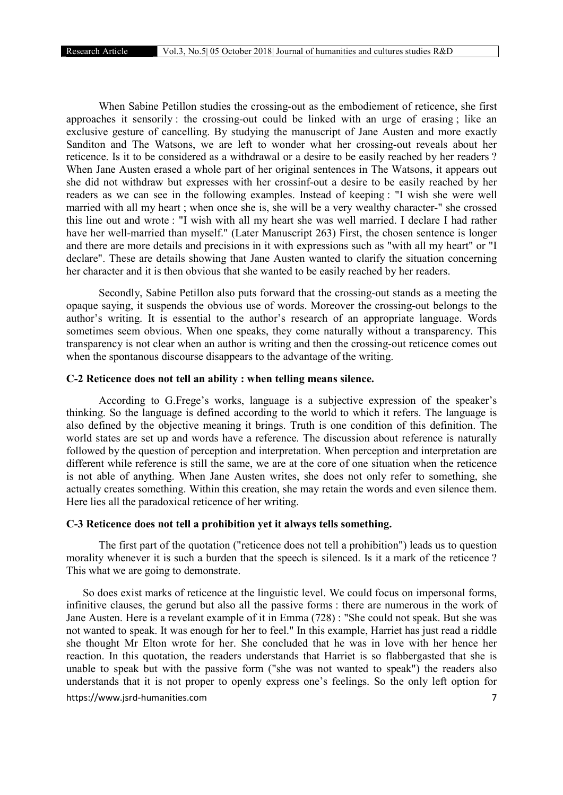When Sabine Petillon studies the crossing-out as the embodiement of reticence, she first approaches it sensorily : the crossing-out could be linked with an urge of erasing ; like an exclusive gesture of cancelling. By studying the manuscript of Jane Austen and more exactly Sanditon and The Watsons, we are left to wonder what her crossing-out reveals about her reticence. Is it to be considered as a withdrawal or a desire to be easily reached by her readers ? When Jane Austen erased a whole part of her original sentences in The Watsons, it appears out she did not withdraw but expresses with her crossinf-out a desire to be easily reached by her readers as we can see in the following examples. Instead of keeping : "I wish she were well married with all my heart ; when once she is, she will be a very wealthy character-" she crossed this line out and wrote : "I wish with all my heart she was well married. I declare I had rather have her well-married than myself." (Later Manuscript 263) First, the chosen sentence is longer and there are more details and precisions in it with expressions such as "with all my heart" or "I declare". These are details showing that Jane Austen wanted to clarify the situation concerning her character and it is then obvious that she wanted to be easily reached by her readers.

Secondly, Sabine Petillon also puts forward that the crossing-out stands as a meeting the opaque saying, it suspends the obvious use of words. Moreover the crossing-out belongs to the author's writing. It is essential to the author's research of an appropriate language. Words sometimes seem obvious. When one speaks, they come naturally without a transparency. This transparency is not clear when an author is writing and then the crossing-out reticence comes out when the spontanous discourse disappears to the advantage of the writing.

## C-2 Reticence does not tell an ability : when telling means silence.

According to G.Frege's works, language is a subjective expression of the speaker's thinking. So the language is defined according to the world to which it refers. The language is also defined by the objective meaning it brings. Truth is one condition of this definition. The world states are set up and words have a reference. The discussion about reference is naturally followed by the question of perception and interpretation. When perception and interpretation are different while reference is still the same, we are at the core of one situation when the reticence is not able of anything. When Jane Austen writes, she does not only refer to something, she actually creates something. Within this creation, she may retain the words and even silence them. Here lies all the paradoxical reticence of her writing.

#### C-3 Reticence does not tell a prohibition yet it always tells something.

The first part of the quotation ("reticence does not tell a prohibition") leads us to question morality whenever it is such a burden that the speech is silenced. Is it a mark of the reticence ? This what we are going to demonstrate.

https://www.jsrd-humanities.com 7 So does exist marks of reticence at the linguistic level. We could focus on impersonal forms, infinitive clauses, the gerund but also all the passive forms : there are numerous in the work of Jane Austen. Here is a revelant example of it in Emma (728) : "She could not speak. But she was not wanted to speak. It was enough for her to feel." In this example, Harriet has just read a riddle she thought Mr Elton wrote for her. She concluded that he was in love with her hence her reaction. In this quotation, the readers understands that Harriet is so flabbergasted that she is unable to speak but with the passive form ("she was not wanted to speak") the readers also understands that it is not proper to openly express one's feelings. So the only left option for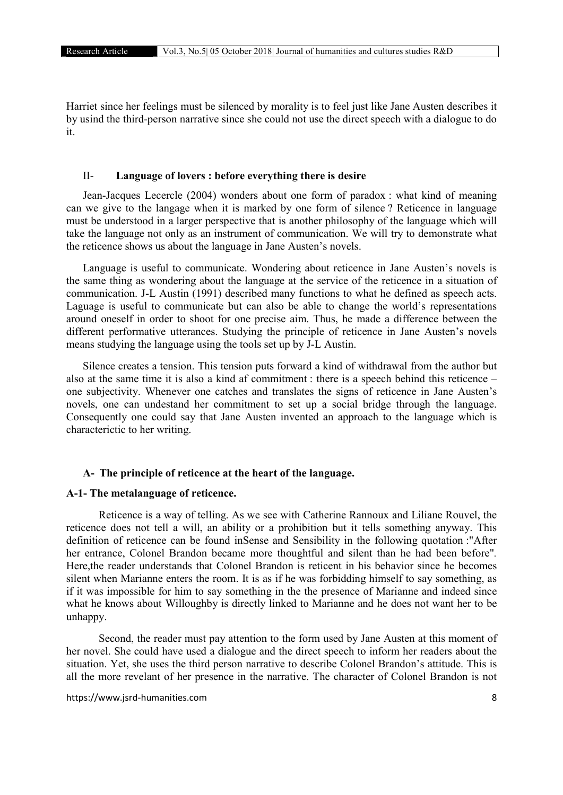Harriet since her feelings must be silenced by morality is to feel just like Jane Austen describes it by usind the third-person narrative since she could not use the direct speech with a dialogue to do it.

## II- Language of lovers : before everything there is desire

Jean-Jacques Lecercle (2004) wonders about one form of paradox : what kind of meaning can we give to the langage when it is marked by one form of silence ? Reticence in language must be understood in a larger perspective that is another philosophy of the language which will take the language not only as an instrument of communication. We will try to demonstrate what the reticence shows us about the language in Jane Austen's novels.

Language is useful to communicate. Wondering about reticence in Jane Austen's novels is the same thing as wondering about the language at the service of the reticence in a situation of communication. J-L Austin (1991) described many functions to what he defined as speech acts. Laguage is useful to communicate but can also be able to change the world's representations around oneself in order to shoot for one precise aim. Thus, he made a difference between the different performative utterances. Studying the principle of reticence in Jane Austen's novels means studying the language using the tools set up by J-L Austin.

Silence creates a tension. This tension puts forward a kind of withdrawal from the author but also at the same time it is also a kind af commitment : there is a speech behind this reticence – one subjectivity. Whenever one catches and translates the signs of reticence in Jane Austen's novels, one can undestand her commitment to set up a social bridge through the language. Consequently one could say that Jane Austen invented an approach to the language which is characterictic to her writing.

#### A- The principle of reticence at the heart of the language.

#### A-1- The metalanguage of reticence.

Reticence is a way of telling. As we see with Catherine Rannoux and Liliane Rouvel, the reticence does not tell a will, an ability or a prohibition but it tells something anyway. This definition of reticence can be found inSense and Sensibility in the following quotation :"After her entrance, Colonel Brandon became more thoughtful and silent than he had been before"*.*  Here,the reader understands that Colonel Brandon is reticent in his behavior since he becomes silent when Marianne enters the room. It is as if he was forbidding himself to say something, as if it was impossible for him to say something in the the presence of Marianne and indeed since what he knows about Willoughby is directly linked to Marianne and he does not want her to be unhappy.

Second, the reader must pay attention to the form used by Jane Austen at this moment of her novel. She could have used a dialogue and the direct speech to inform her readers about the situation. Yet, she uses the third person narrative to describe Colonel Brandon's attitude. This is all the more revelant of her presence in the narrative. The character of Colonel Brandon is not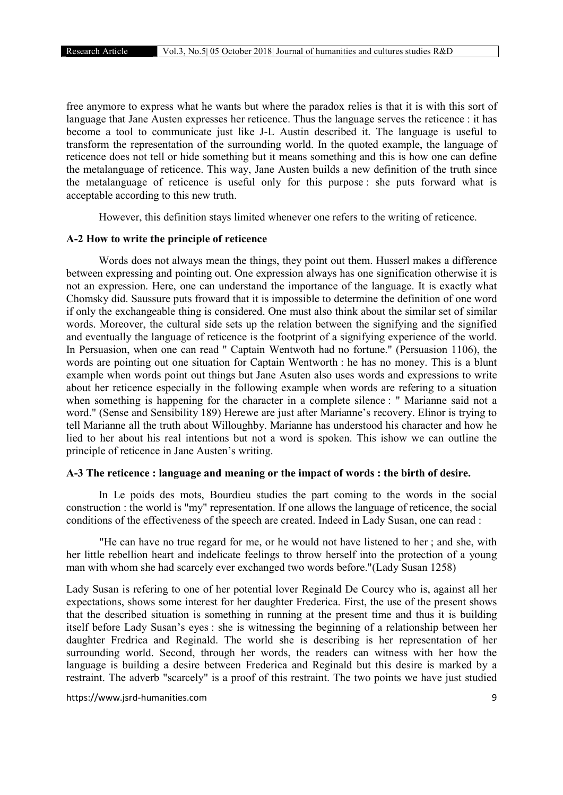free anymore to express what he wants but where the paradox relies is that it is with this sort of language that Jane Austen expresses her reticence. Thus the language serves the reticence : it has become a tool to communicate just like J-L Austin described it. The language is useful to transform the representation of the surrounding world. In the quoted example, the language of reticence does not tell or hide something but it means something and this is how one can define the metalanguage of reticence. This way, Jane Austen builds a new definition of the truth since the metalanguage of reticence is useful only for this purpose : she puts forward what is acceptable according to this new truth.

However, this definition stays limited whenever one refers to the writing of reticence.

# A-2 How to write the principle of reticence

Words does not always mean the things, they point out them. Husserl makes a difference between expressing and pointing out. One expression always has one signification otherwise it is not an expression. Here, one can understand the importance of the language. It is exactly what Chomsky did. Saussure puts froward that it is impossible to determine the definition of one word if only the exchangeable thing is considered. One must also think about the similar set of similar words. Moreover, the cultural side sets up the relation between the signifying and the signified and eventually the language of reticence is the footprint of a signifying experience of the world. In Persuasion, when one can read " Captain Wentwoth had no fortune." (Persuasion 1106), the words are pointing out one situation for Captain Wentworth : he has no money. This is a blunt example when words point out things but Jane Asuten also uses words and expressions to write about her reticence especially in the following example when words are refering to a situation when something is happening for the character in a complete silence : " Marianne said not a word." (Sense and Sensibility 189) Herewe are just after Marianne's recovery. Elinor is trying to tell Marianne all the truth about Willoughby. Marianne has understood his character and how he lied to her about his real intentions but not a word is spoken. This ishow we can outline the principle of reticence in Jane Austen's writing.

## A-3 The reticence : language and meaning or the impact of words : the birth of desire.

In Le poids des mots, Bourdieu studies the part coming to the words in the social construction : the world is "my" representation. If one allows the language of reticence, the social conditions of the effectiveness of the speech are created. Indeed in Lady Susan, one can read :

"He can have no true regard for me, or he would not have listened to her ; and she, with her little rebellion heart and indelicate feelings to throw herself into the protection of a young man with whom she had scarcely ever exchanged two words before."(Lady Susan 1258)

Lady Susan is refering to one of her potential lover Reginald De Courcy who is, against all her expectations, shows some interest for her daughter Frederica. First, the use of the present shows that the described situation is something in running at the present time and thus it is building itself before Lady Susan's eyes : she is witnessing the beginning of a relationship between her daughter Fredrica and Reginald. The world she is describing is her representation of her surrounding world. Second, through her words, the readers can witness with her how the language is building a desire between Frederica and Reginald but this desire is marked by a restraint. The adverb "scarcely" is a proof of this restraint. The two points we have just studied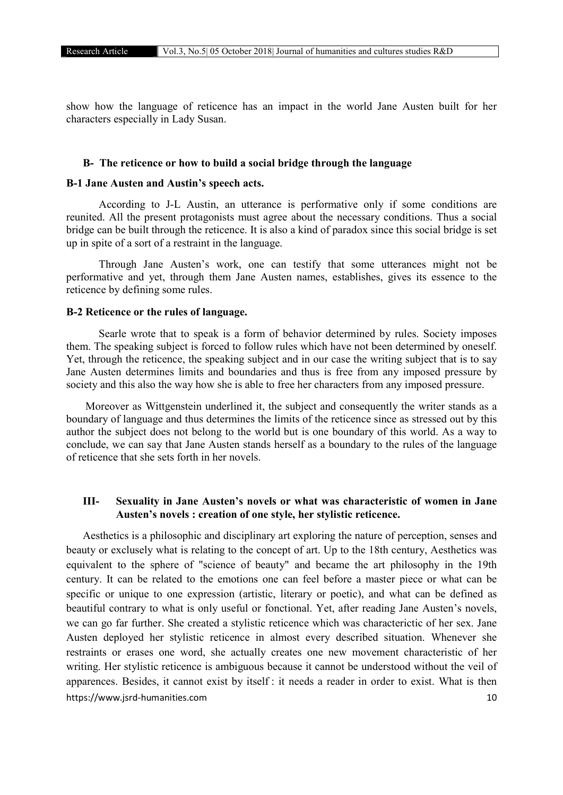show how the language of reticence has an impact in the world Jane Austen built for her characters especially in Lady Susan.

## B- The reticence or how to build a social bridge through the language

# B-1 Jane Austen and Austin's speech acts.

According to J-L Austin, an utterance is performative only if some conditions are reunited. All the present protagonists must agree about the necessary conditions. Thus a social bridge can be built through the reticence. It is also a kind of paradox since this social bridge is set up in spite of a sort of a restraint in the language.

Through Jane Austen's work, one can testify that some utterances might not be performative and yet, through them Jane Austen names, establishes, gives its essence to the reticence by defining some rules.

#### B-2 Reticence or the rules of language.

Searle wrote that to speak is a form of behavior determined by rules. Society imposes them. The speaking subject is forced to follow rules which have not been determined by oneself. Yet, through the reticence, the speaking subject and in our case the writing subject that is to say Jane Austen determines limits and boundaries and thus is free from any imposed pressure by society and this also the way how she is able to free her characters from any imposed pressure.

Moreover as Wittgenstein underlined it, the subject and consequently the writer stands as a boundary of language and thus determines the limits of the reticence since as stressed out by this author the subject does not belong to the world but is one boundary of this world. As a way to conclude, we can say that Jane Austen stands herself as a boundary to the rules of the language of reticence that she sets forth in her novels.

# III- Sexuality in Jane Austen's novels or what was characteristic of women in Jane Austen's novels : creation of one style, her stylistic reticence.

https://www.jsrd-humanities.com 10 Aesthetics is a philosophic and disciplinary art exploring the nature of perception, senses and beauty or exclusely what is relating to the concept of art. Up to the 18th century, Aesthetics was equivalent to the sphere of "science of beauty" and became the art philosophy in the 19th century. It can be related to the emotions one can feel before a master piece or what can be specific or unique to one expression (artistic, literary or poetic), and what can be defined as beautiful contrary to what is only useful or fonctional. Yet, after reading Jane Austen's novels, we can go far further. She created a stylistic reticence which was characterictic of her sex. Jane Austen deployed her stylistic reticence in almost every described situation. Whenever she restraints or erases one word, she actually creates one new movement characteristic of her writing. Her stylistic reticence is ambiguous because it cannot be understood without the veil of apparences. Besides, it cannot exist by itself : it needs a reader in order to exist. What is then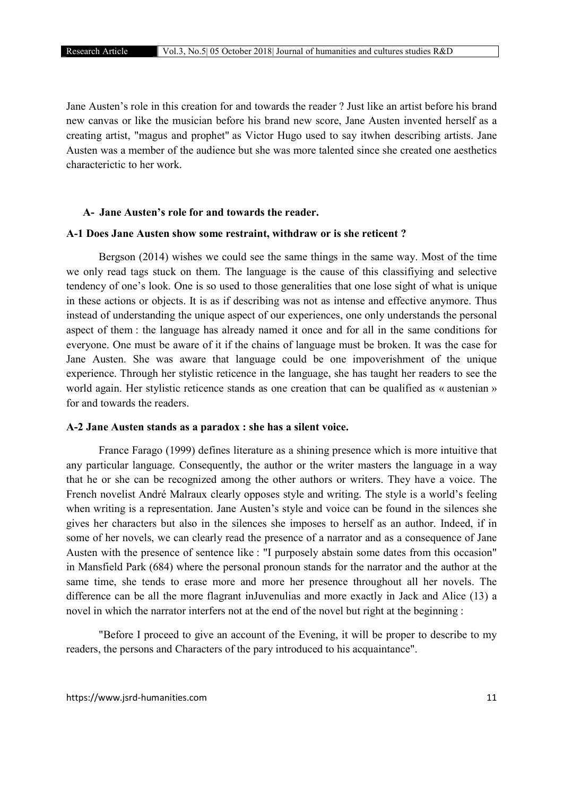Jane Austen's role in this creation for and towards the reader ? Just like an artist before his brand new canvas or like the musician before his brand new score, Jane Austen invented herself as a creating artist, "magus and prophet" as Victor Hugo used to say itwhen describing artists. Jane Austen was a member of the audience but she was more talented since she created one aesthetics characterictic to her work.

# A- Jane Austen's role for and towards the reader.

# A-1 Does Jane Austen show some restraint, withdraw or is she reticent ?

Bergson (2014) wishes we could see the same things in the same way. Most of the time we only read tags stuck on them. The language is the cause of this classifiying and selective tendency of one's look. One is so used to those generalities that one lose sight of what is unique in these actions or objects. It is as if describing was not as intense and effective anymore. Thus instead of understanding the unique aspect of our experiences, one only understands the personal aspect of them : the language has already named it once and for all in the same conditions for everyone. One must be aware of it if the chains of language must be broken. It was the case for Jane Austen. She was aware that language could be one impoverishment of the unique experience. Through her stylistic reticence in the language, she has taught her readers to see the world again. Her stylistic reticence stands as one creation that can be qualified as « austenian » for and towards the readers.

## A-2 Jane Austen stands as a paradox : she has a silent voice.

France Farago (1999) defines literature as a shining presence which is more intuitive that any particular language. Consequently, the author or the writer masters the language in a way that he or she can be recognized among the other authors or writers. They have a voice. The French novelist André Malraux clearly opposes style and writing. The style is a world's feeling when writing is a representation. Jane Austen's style and voice can be found in the silences she gives her characters but also in the silences she imposes to herself as an author. Indeed, if in some of her novels, we can clearly read the presence of a narrator and as a consequence of Jane Austen with the presence of sentence like : "I purposely abstain some dates from this occasion" in Mansfield Park (684) where the personal pronoun stands for the narrator and the author at the same time, she tends to erase more and more her presence throughout all her novels. The difference can be all the more flagrant inJuvenulias and more exactly in Jack and Alice (13) a novel in which the narrator interfers not at the end of the novel but right at the beginning :

"Before I proceed to give an account of the Evening, it will be proper to describe to my readers, the persons and Characters of the pary introduced to his acquaintance".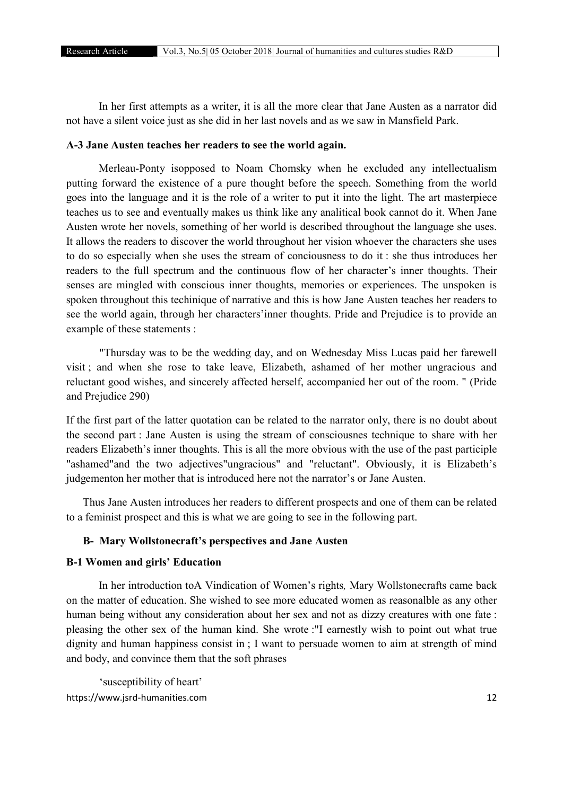In her first attempts as a writer, it is all the more clear that Jane Austen as a narrator did not have a silent voice just as she did in her last novels and as we saw in Mansfield Park.

#### A-3 Jane Austen teaches her readers to see the world again.

Merleau-Ponty isopposed to Noam Chomsky when he excluded any intellectualism putting forward the existence of a pure thought before the speech. Something from the world goes into the language and it is the role of a writer to put it into the light. The art masterpiece teaches us to see and eventually makes us think like any analitical book cannot do it. When Jane Austen wrote her novels, something of her world is described throughout the language she uses. It allows the readers to discover the world throughout her vision whoever the characters she uses to do so especially when she uses the stream of conciousness to do it : she thus introduces her readers to the full spectrum and the continuous flow of her character's inner thoughts. Their senses are mingled with conscious inner thoughts, memories or experiences. The unspoken is spoken throughout this techinique of narrative and this is how Jane Austen teaches her readers to see the world again, through her characters'inner thoughts. Pride and Prejudice is to provide an example of these statements :

"Thursday was to be the wedding day, and on Wednesday Miss Lucas paid her farewell visit ; and when she rose to take leave, Elizabeth, ashamed of her mother ungracious and reluctant good wishes, and sincerely affected herself, accompanied her out of the room. " (Pride and Prejudice 290)

If the first part of the latter quotation can be related to the narrator only, there is no doubt about the second part : Jane Austen is using the stream of consciousnes technique to share with her readers Elizabeth's inner thoughts. This is all the more obvious with the use of the past participle "ashamed"and the two adjectives"ungracious" and "reluctant". Obviously, it is Elizabeth's judgementon her mother that is introduced here not the narrator's or Jane Austen.

Thus Jane Austen introduces her readers to different prospects and one of them can be related to a feminist prospect and this is what we are going to see in the following part.

# B- Mary Wollstonecraft's perspectives and Jane Austen

# B-1 Women and girls' Education

In her introduction toA Vindication of Women's rights*,* Mary Wollstonecrafts came back on the matter of education. She wished to see more educated women as reasonalble as any other human being without any consideration about her sex and not as dizzy creatures with one fate : pleasing the other sex of the human kind. She wrote :"I earnestly wish to point out what true dignity and human happiness consist in ; I want to persuade women to aim at strength of mind and body, and convince them that the soft phrases

https://www.jsrd-humanities.com 12 'susceptibility of heart'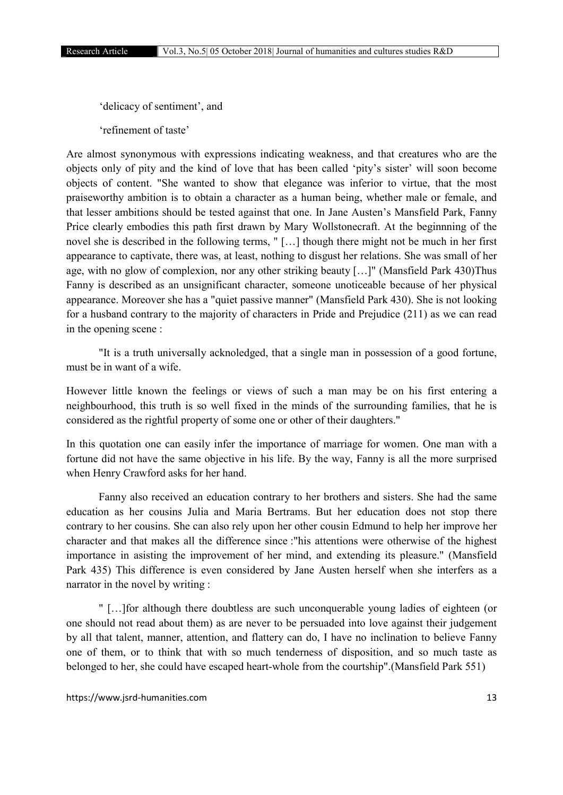'delicacy of sentiment', and

'refinement of taste'

Are almost synonymous with expressions indicating weakness, and that creatures who are the objects only of pity and the kind of love that has been called 'pity's sister' will soon become objects of content. "She wanted to show that elegance was inferior to virtue, that the most praiseworthy ambition is to obtain a character as a human being, whether male or female, and that lesser ambitions should be tested against that one. In Jane Austen's Mansfield Park, Fanny Price clearly embodies this path first drawn by Mary Wollstonecraft. At the beginnning of the novel she is described in the following terms, " […] though there might not be much in her first appearance to captivate, there was, at least, nothing to disgust her relations. She was small of her age, with no glow of complexion, nor any other striking beauty […]" (Mansfield Park 430)Thus Fanny is described as an unsignificant character, someone unoticeable because of her physical appearance. Moreover she has a "quiet passive manner" (Mansfield Park 430). She is not looking for a husband contrary to the majority of characters in Pride and Prejudice (211) as we can read in the opening scene :

"It is a truth universally acknoledged, that a single man in possession of a good fortune, must be in want of a wife.

However little known the feelings or views of such a man may be on his first entering a neighbourhood, this truth is so well fixed in the minds of the surrounding families, that he is considered as the rightful property of some one or other of their daughters."

In this quotation one can easily infer the importance of marriage for women. One man with a fortune did not have the same objective in his life. By the way, Fanny is all the more surprised when Henry Crawford asks for her hand.

Fanny also received an education contrary to her brothers and sisters. She had the same education as her cousins Julia and Maria Bertrams. But her education does not stop there contrary to her cousins. She can also rely upon her other cousin Edmund to help her improve her character and that makes all the difference since :"his attentions were otherwise of the highest importance in asisting the improvement of her mind, and extending its pleasure." (Mansfield Park 435) This difference is even considered by Jane Austen herself when she interfers as a narrator in the novel by writing :

" […]for although there doubtless are such unconquerable young ladies of eighteen (or one should not read about them) as are never to be persuaded into love against their judgement by all that talent, manner, attention, and flattery can do, I have no inclination to believe Fanny one of them, or to think that with so much tenderness of disposition, and so much taste as belonged to her, she could have escaped heart-whole from the courtship".(Mansfield Park 551)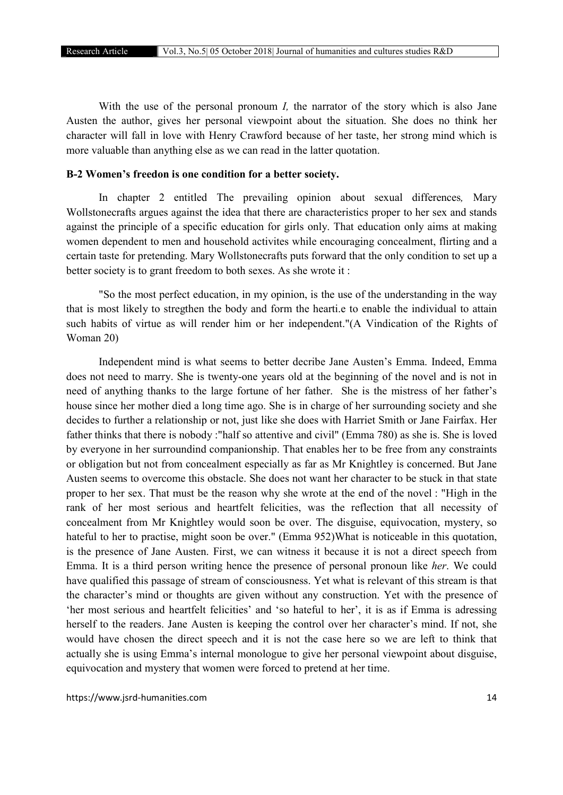With the use of the personal pronoum *I*, the narrator of the story which is also Jane Austen the author, gives her personal viewpoint about the situation. She does no think her character will fall in love with Henry Crawford because of her taste, her strong mind which is more valuable than anything else as we can read in the latter quotation.

## B-2 Women's freedon is one condition for a better society.

In chapter 2 entitled The prevailing opinion about sexual differences*,* Mary Wollstonecrafts argues against the idea that there are characteristics proper to her sex and stands against the principle of a specific education for girls only. That education only aims at making women dependent to men and household activites while encouraging concealment, flirting and a certain taste for pretending. Mary Wollstonecrafts puts forward that the only condition to set up a better society is to grant freedom to both sexes. As she wrote it :

"So the most perfect education, in my opinion, is the use of the understanding in the way that is most likely to stregthen the body and form the hearti.e to enable the individual to attain such habits of virtue as will render him or her independent."(A Vindication of the Rights of Woman 20)

Independent mind is what seems to better decribe Jane Austen's Emma. Indeed, Emma does not need to marry. She is twenty-one years old at the beginning of the novel and is not in need of anything thanks to the large fortune of her father. She is the mistress of her father's house since her mother died a long time ago. She is in charge of her surrounding society and she decides to further a relationship or not, just like she does with Harriet Smith or Jane Fairfax. Her father thinks that there is nobody :"half so attentive and civil" (Emma 780) as she is. She is loved by everyone in her surroundind companionship. That enables her to be free from any constraints or obligation but not from concealment especially as far as Mr Knightley is concerned. But Jane Austen seems to overcome this obstacle. She does not want her character to be stuck in that state proper to her sex. That must be the reason why she wrote at the end of the novel : "High in the rank of her most serious and heartfelt felicities, was the reflection that all necessity of concealment from Mr Knightley would soon be over. The disguise, equivocation, mystery, so hateful to her to practise, might soon be over." (Emma 952)What is noticeable in this quotation, is the presence of Jane Austen. First, we can witness it because it is not a direct speech from Emma. It is a third person writing hence the presence of personal pronoun like *her*. We could have qualified this passage of stream of consciousness. Yet what is relevant of this stream is that the character's mind or thoughts are given without any construction. Yet with the presence of 'her most serious and heartfelt felicities' and 'so hateful to her', it is as if Emma is adressing herself to the readers. Jane Austen is keeping the control over her character's mind. If not, she would have chosen the direct speech and it is not the case here so we are left to think that actually she is using Emma's internal monologue to give her personal viewpoint about disguise, equivocation and mystery that women were forced to pretend at her time.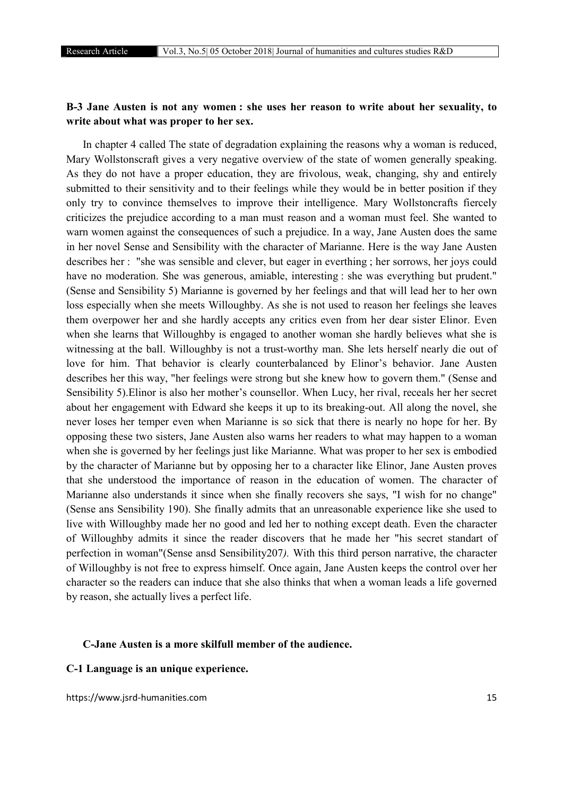# B-3 Jane Austen is not any women : she uses her reason to write about her sexuality, to write about what was proper to her sex.

In chapter 4 called The state of degradation explaining the reasons why a woman is reduced, Mary Wollstonscraft gives a very negative overview of the state of women generally speaking. As they do not have a proper education, they are frivolous, weak, changing, shy and entirely submitted to their sensitivity and to their feelings while they would be in better position if they only try to convince themselves to improve their intelligence. Mary Wollstoncrafts fiercely criticizes the prejudice according to a man must reason and a woman must feel. She wanted to warn women against the consequences of such a prejudice. In a way, Jane Austen does the same in her novel Sense and Sensibility with the character of Marianne. Here is the way Jane Austen describes her : "she was sensible and clever, but eager in everthing ; her sorrows, her joys could have no moderation. She was generous, amiable, interesting : she was everything but prudent." (Sense and Sensibility 5) Marianne is governed by her feelings and that will lead her to her own loss especially when she meets Willoughby. As she is not used to reason her feelings she leaves them overpower her and she hardly accepts any critics even from her dear sister Elinor. Even when she learns that Willoughby is engaged to another woman she hardly believes what she is witnessing at the ball. Willoughby is not a trust-worthy man. She lets herself nearly die out of love for him. That behavior is clearly counterbalanced by Elinor's behavior. Jane Austen describes her this way, "her feelings were strong but she knew how to govern them." (Sense and Sensibility 5).Elinor is also her mother's counsellor. When Lucy, her rival, receals her her secret about her engagement with Edward she keeps it up to its breaking-out. All along the novel, she never loses her temper even when Marianne is so sick that there is nearly no hope for her. By opposing these two sisters, Jane Austen also warns her readers to what may happen to a woman when she is governed by her feelings just like Marianne. What was proper to her sex is embodied by the character of Marianne but by opposing her to a character like Elinor, Jane Austen proves that she understood the importance of reason in the education of women. The character of Marianne also understands it since when she finally recovers she says, "I wish for no change" (Sense ans Sensibility 190). She finally admits that an unreasonable experience like she used to live with Willoughby made her no good and led her to nothing except death. Even the character of Willoughby admits it since the reader discovers that he made her "his secret standart of perfection in woman"(Sense ansd Sensibility207*).* With this third person narrative, the character of Willoughby is not free to express himself. Once again, Jane Austen keeps the control over her character so the readers can induce that she also thinks that when a woman leads a life governed by reason, she actually lives a perfect life.

# C-Jane Austen is a more skilfull member of the audience.

## C-1 Language is an unique experience.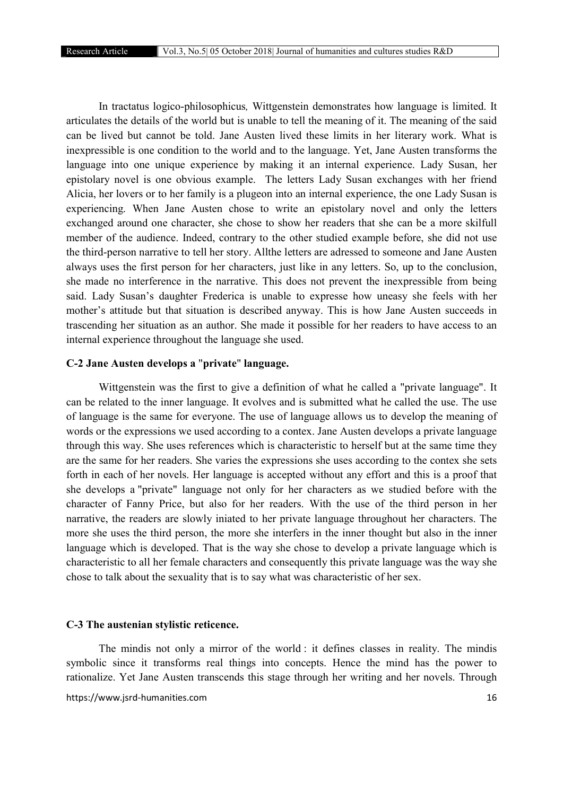In tractatus logico-philosophicus*,* Wittgenstein demonstrates how language is limited. It articulates the details of the world but is unable to tell the meaning of it. The meaning of the said can be lived but cannot be told. Jane Austen lived these limits in her literary work. What is inexpressible is one condition to the world and to the language. Yet, Jane Austen transforms the language into one unique experience by making it an internal experience. Lady Susan, her epistolary novel is one obvious example. The letters Lady Susan exchanges with her friend Alicia, her lovers or to her family is a plugeon into an internal experience, the one Lady Susan is experiencing. When Jane Austen chose to write an epistolary novel and only the letters exchanged around one character, she chose to show her readers that she can be a more skilfull member of the audience. Indeed, contrary to the other studied example before, she did not use the third-person narrative to tell her story. Allthe letters are adressed to someone and Jane Austen always uses the first person for her characters, just like in any letters. So, up to the conclusion, she made no interference in the narrative. This does not prevent the inexpressible from being said. Lady Susan's daughter Frederica is unable to expresse how uneasy she feels with her mother's attitude but that situation is described anyway. This is how Jane Austen succeeds in trascending her situation as an author. She made it possible for her readers to have access to an internal experience throughout the language she used.

#### C-2 Jane Austen develops a "private" language.

Wittgenstein was the first to give a definition of what he called a "private language". It can be related to the inner language. It evolves and is submitted what he called the use. The use of language is the same for everyone. The use of language allows us to develop the meaning of words or the expressions we used according to a contex. Jane Austen develops a private language through this way. She uses references which is characteristic to herself but at the same time they are the same for her readers. She varies the expressions she uses according to the contex she sets forth in each of her novels. Her language is accepted without any effort and this is a proof that she develops a "private" language not only for her characters as we studied before with the character of Fanny Price, but also for her readers. With the use of the third person in her narrative, the readers are slowly iniated to her private language throughout her characters. The more she uses the third person, the more she interfers in the inner thought but also in the inner language which is developed. That is the way she chose to develop a private language which is characteristic to all her female characters and consequently this private language was the way she chose to talk about the sexuality that is to say what was characteristic of her sex.

# C-3 The austenian stylistic reticence.

The mindis not only a mirror of the world : it defines classes in reality. The mindis symbolic since it transforms real things into concepts. Hence the mind has the power to rationalize. Yet Jane Austen transcends this stage through her writing and her novels. Through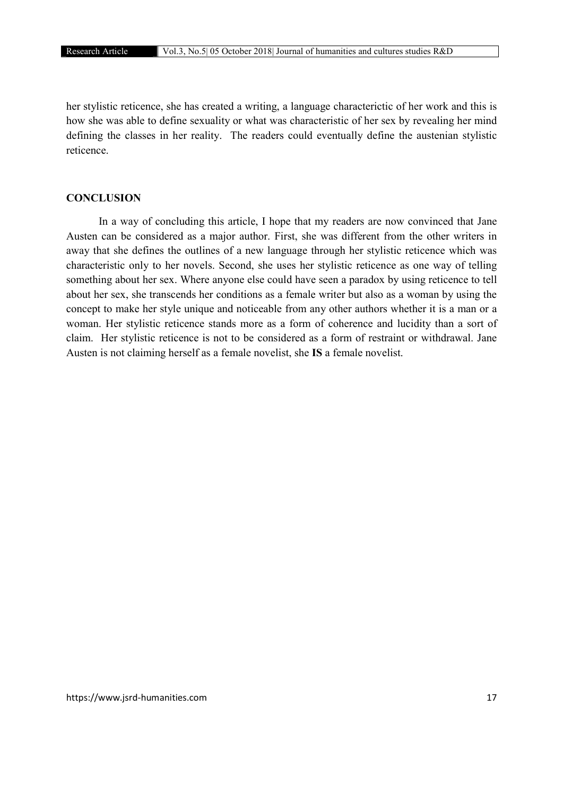her stylistic reticence, she has created a writing, a language characterictic of her work and this is how she was able to define sexuality or what was characteristic of her sex by revealing her mind defining the classes in her reality. The readers could eventually define the austenian stylistic reticence.

# **CONCLUSION**

In a way of concluding this article, I hope that my readers are now convinced that Jane Austen can be considered as a major author. First, she was different from the other writers in away that she defines the outlines of a new language through her stylistic reticence which was characteristic only to her novels. Second, she uses her stylistic reticence as one way of telling something about her sex. Where anyone else could have seen a paradox by using reticence to tell about her sex, she transcends her conditions as a female writer but also as a woman by using the concept to make her style unique and noticeable from any other authors whether it is a man or a woman. Her stylistic reticence stands more as a form of coherence and lucidity than a sort of claim. Her stylistic reticence is not to be considered as a form of restraint or withdrawal. Jane Austen is not claiming herself as a female novelist, she IS a female novelist.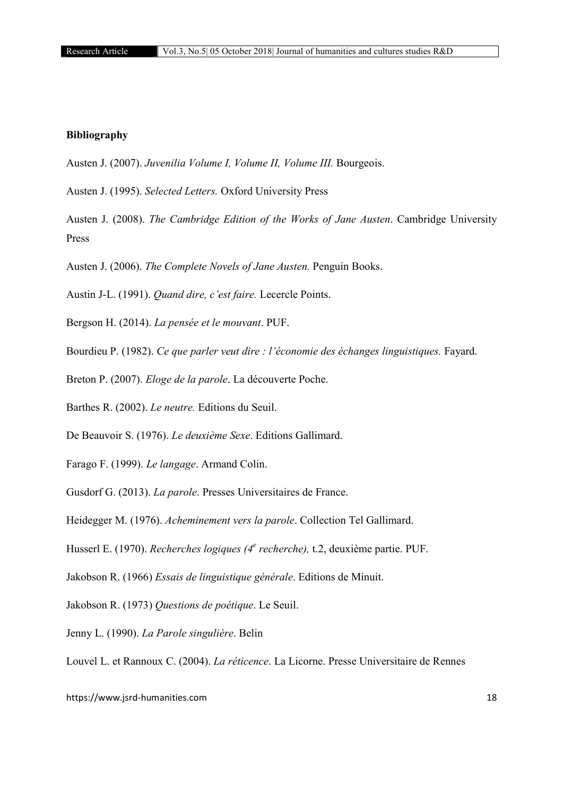# Bibliography

- Austen J. (2007). *Juvenilia Volume I, Volume II, Volume III.* Bourgeois.
- Austen J. (1995). *Selected Letters.* Oxford University Press
- Austen J. (2008). *The Cambridge Edition of the Works of Jane Austen*. Cambridge University Press
- Austen J. (2006). *The Complete Novels of Jane Austen.* Penguin Books.
- Austin J-L. (1991). *Quand dire, c'est faire.* Lecercle Points.
- Bergson H. (2014). *La pensée et le mouvant*. PUF.
- Bourdieu P. (1982). *Ce que parler veut dire : l'économie des échanges linguistiques.* Fayard.
- Breton P. (2007). *Eloge de la parole*. La découverte Poche.
- Barthes R. (2002). *Le neutre.* Editions du Seuil.
- De Beauvoir S. (1976). *Le deuxième Sexe*. Editions Gallimard.
- Farago F. (1999). *Le langage*. Armand Colin.
- Gusdorf G. (2013). *La parole*. Presses Universitaires de France.
- Heidegger M. (1976). *Acheminement vers la parole*. Collection Tel Gallimard.
- Husserl E. (1970). *Recherches logiques (4e recherche),* t.2, deuxième partie. PUF.
- Jakobson R. (1966) *Essais de linguistique générale*. Editions de Minuit.
- Jakobson R. (1973) *Questions de poétique*. Le Seuil.
- Jenny L. (1990). *La Parole singulière*. Belin
- Louvel L. et Rannoux C. (2004). *La réticence*. La Licorne. Presse Universitaire de Rennes